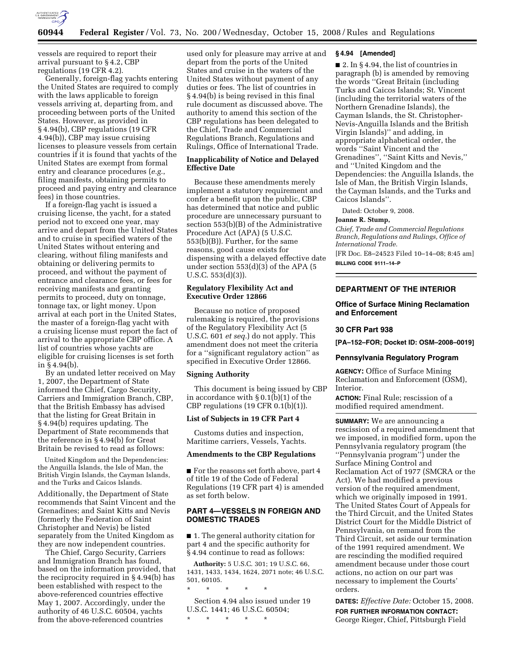

vessels are required to report their arrival pursuant to § 4.2, CBP regulations (19 CFR 4.2).

Generally, foreign-flag yachts entering the United States are required to comply with the laws applicable to foreign vessels arriving at, departing from, and proceeding between ports of the United States. However, as provided in § 4.94(b), CBP regulations (19 CFR 4.94(b)), CBP may issue cruising licenses to pleasure vessels from certain countries if it is found that yachts of the United States are exempt from formal entry and clearance procedures (*e.g.*, filing manifests, obtaining permits to proceed and paying entry and clearance fees) in those countries.

If a foreign-flag yacht is issued a cruising license, the yacht, for a stated period not to exceed one year, may arrive and depart from the United States and to cruise in specified waters of the United States without entering and clearing, without filing manifests and obtaining or delivering permits to proceed, and without the payment of entrance and clearance fees, or fees for receiving manifests and granting permits to proceed, duty on tonnage, tonnage tax, or light money. Upon arrival at each port in the United States, the master of a foreign-flag yacht with a cruising license must report the fact of arrival to the appropriate CBP office. A list of countries whose yachts are eligible for cruising licenses is set forth in § 4.94(b).

By an undated letter received on May 1, 2007, the Department of State informed the Chief, Cargo Security, Carriers and Immigration Branch, CBP, that the British Embassy has advised that the listing for Great Britain in § 4.94(b) requires updating. The Department of State recommends that the reference in § 4.94(b) for Great Britain be revised to read as follows:

United Kingdom and the Dependencies: the Anguilla Islands, the Isle of Man, the British Virgin Islands, the Cayman Islands, and the Turks and Caicos Islands.

Additionally, the Department of State recommends that Saint Vincent and the Grenadines; and Saint Kitts and Nevis (formerly the Federation of Saint Christopher and Nevis) be listed separately from the United Kingdom as they are now independent countries.

The Chief, Cargo Security, Carriers and Immigration Branch has found, based on the information provided, that the reciprocity required in § 4.94(b) has been established with respect to the above-referenced countries effective May 1, 2007. Accordingly, under the authority of 46 U.S.C. 60504, yachts from the above-referenced countries

used only for pleasure may arrive at and depart from the ports of the United States and cruise in the waters of the United States without payment of any duties or fees. The list of countries in § 4.94(b) is being revised in this final rule document as discussed above. The authority to amend this section of the CBP regulations has been delegated to the Chief, Trade and Commercial Regulations Branch, Regulations and Rulings, Office of International Trade.

# **Inapplicability of Notice and Delayed Effective Date**

Because these amendments merely implement a statutory requirement and confer a benefit upon the public, CBP has determined that notice and public procedure are unnecessary pursuant to section 553(b)(B) of the Administrative Procedure Act (APA) (5 U.S.C. 553(b)(B)). Further, for the same reasons, good cause exists for dispensing with a delayed effective date under section 553(d)(3) of the APA (5 U.S.C. 553(d)(3)).

## **Regulatory Flexibility Act and Executive Order 12866**

Because no notice of proposed rulemaking is required, the provisions of the Regulatory Flexibility Act (5 U.S.C. 601 *et seq.*) do not apply. This amendment does not meet the criteria for a ''significant regulatory action'' as specified in Executive Order 12866.

#### **Signing Authority**

This document is being issued by CBP in accordance with § 0.1(b)(1) of the CBP regulations (19 CFR 0.1(b)(1)).

## **List of Subjects in 19 CFR Part 4**

Customs duties and inspection, Maritime carriers, Vessels, Yachts.

# **Amendments to the CBP Regulations**

■ For the reasons set forth above, part 4 of title 19 of the Code of Federal Regulations (19 CFR part 4) is amended as set forth below.

## **PART 4—VESSELS IN FOREIGN AND DOMESTIC TRADES**

■ 1. The general authority citation for part 4 and the specific authority for § 4.94 continue to read as follows:

**Authority:** 5 U.S.C. 301; 19 U.S.C. 66, 1431, 1433, 1434, 1624, 2071 note; 46 U.S.C. 501, 60105.

Section 4.94 also issued under 19 U.S.C. 1441; 46 U.S.C. 60504; \* \* \* \* \*

\* \* \* \* \*

## **§ 4.94 [Amended]**

■ 2. In § 4.94, the list of countries in paragraph (b) is amended by removing the words ''Great Britain (including Turks and Caicos Islands; St. Vincent (including the territorial waters of the Northern Grenadine Islands), the Cayman Islands, the St. Christopher-Nevis-Anguilla Islands and the British Virgin Islands)'' and adding, in appropriate alphabetical order, the words ''Saint Vincent and the Grenadines'', ''Saint Kitts and Nevis,'' and ''United Kingdom and the Dependencies: the Anguilla Islands, the Isle of Man, the British Virgin Islands, the Cayman Islands, and the Turks and Caicos Islands''.

Dated: October 9, 2008.

#### **Joanne R. Stump,**

*Chief, Trade and Commercial Regulations Branch, Regulations and Rulings, Office of International Trade.* 

[FR Doc. E8–24523 Filed 10–14–08; 8:45 am] **BILLING CODE 9111–14–P** 

# **DEPARTMENT OF THE INTERIOR**

# **Office of Surface Mining Reclamation and Enforcement**

## **30 CFR Part 938**

**[PA–152–FOR; Docket ID: OSM–2008–0019]** 

## **Pennsylvania Regulatory Program**

**AGENCY:** Office of Surface Mining Reclamation and Enforcement (OSM), **Interior** 

**ACTION:** Final Rule; rescission of a modified required amendment.

**SUMMARY:** We are announcing a rescission of a required amendment that we imposed, in modified form, upon the Pennsylvania regulatory program (the ''Pennsylvania program'') under the Surface Mining Control and Reclamation Act of 1977 (SMCRA or the Act). We had modified a previous version of the required amendment, which we originally imposed in 1991. The United States Court of Appeals for the Third Circuit, and the United States District Court for the Middle District of Pennsylvania, on remand from the Third Circuit, set aside our termination of the 1991 required amendment. We are rescinding the modified required amendment because under those court actions, no action on our part was necessary to implement the Courts' orders.

**DATES:** *Effective Date:* October 15, 2008. **FOR FURTHER INFORMATION CONTACT:**  George Rieger, Chief, Pittsburgh Field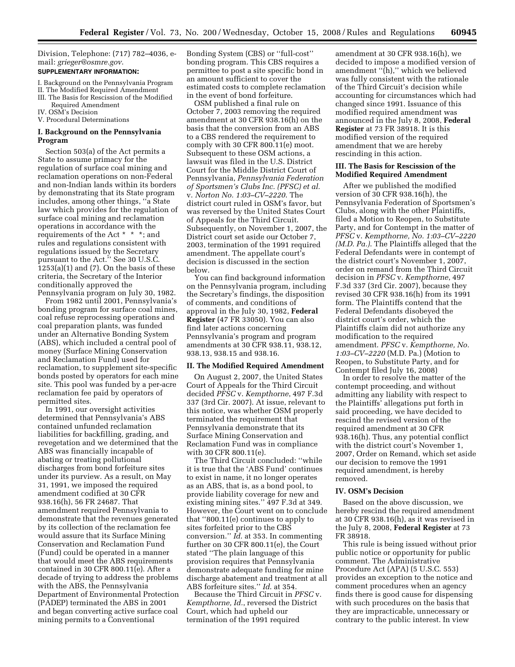Division, Telephone: (717) 782–4036, email: *grieger@osmre.gov*. **SUPPLEMENTARY INFORMATION:** 

- I. Background on the Pennsylvania Program
- II. The Modified Required Amendment III. The Basis for Rescission of the Modified
- Required Amendment
- IV. OSM's Decision
- V. Procedural Determinations

## **I. Background on the Pennsylvania Program**

Section 503(a) of the Act permits a State to assume primacy for the regulation of surface coal mining and reclamation operations on non-Federal and non-Indian lands within its borders by demonstrating that its State program includes, among other things, ''a State law which provides for the regulation of surface coal mining and reclamation operations in accordance with the requirements of the Act \* \* \*; and rules and regulations consistent with regulations issued by the Secretary pursuant to the Act.'' See 30 U.S.C.  $1253(a)(1)$  and  $(7)$ . On the basis of these criteria, the Secretary of the Interior conditionally approved the

Pennsylvania program on July 30, 1982. From 1982 until 2001, Pennsylvania's bonding program for surface coal mines, coal refuse reprocessing operations and coal preparation plants, was funded under an Alternative Bonding System (ABS), which included a central pool of money (Surface Mining Conservation and Reclamation Fund) used for reclamation, to supplement site-specific bonds posted by operators for each mine site. This pool was funded by a per-acre reclamation fee paid by operators of permitted sites.

In 1991, our oversight activities determined that Pennsylvania's ABS contained unfunded reclamation liabilities for backfilling, grading, and revegetation and we determined that the ABS was financially incapable of abating or treating pollutional discharges from bond forfeiture sites under its purview. As a result, on May 31, 1991, we imposed the required amendment codified at 30 CFR 938.16(h), 56 FR 24687. That amendment required Pennsylvania to demonstrate that the revenues generated by its collection of the reclamation fee would assure that its Surface Mining Conservation and Reclamation Fund (Fund) could be operated in a manner that would meet the ABS requirements contained in 30 CFR 800.11(e). After a decade of trying to address the problems with the ABS, the Pennsylvania Department of Environmental Protection (PADEP) terminated the ABS in 2001 and began converting active surface coal mining permits to a Conventional

Bonding System (CBS) or ''full-cost'' bonding program. This CBS requires a permittee to post a site specific bond in an amount sufficient to cover the estimated costs to complete reclamation in the event of bond forfeiture.

OSM published a final rule on October 7, 2003 removing the required amendment at 30 CFR 938.16(h) on the basis that the conversion from an ABS to a CBS rendered the requirement to comply with 30 CFR 800.11(e) moot. Subsequent to these OSM actions, a lawsuit was filed in the U.S. District Court for the Middle District Court of Pennsylvania, *Pennsylvania Federation of Sportsmen's Clubs Inc. (PFSC) et al.*  v. *Norton No. 1:03–CV–2220*. The district court ruled in OSM's favor, but was reversed by the United States Court of Appeals for the Third Circuit. Subsequently, on November 1, 2007, the District court set aside our October 7, 2003, termination of the 1991 required amendment. The appellate court's decision is discussed in the section below.

You can find background information on the Pennsylvania program, including the Secretary's findings, the disposition of comments, and conditions of approval in the July 30, 1982, **Federal Register** (47 FR 33050). You can also find later actions concerning Pennsylvania's program and program amendments at 30 CFR 938.11, 938.12, 938.13, 938.15 and 938.16.

#### **II. The Modified Required Amendment**

On August 2, 2007, the United States Court of Appeals for the Third Circuit decided *PFSC* v. *Kempthorne*, 497 F.3d 337 (3rd Cir. 2007). At issue, relevant to this notice, was whether OSM properly terminated the requirement that Pennsylvania demonstrate that its Surface Mining Conservation and Reclamation Fund was in compliance with 30 CFR 800.11(e).

The Third Circuit concluded: ''while it is true that the 'ABS Fund' continues to exist in name, it no longer operates as an ABS, that is, as a bond pool, to provide liability coverage for new and existing mining sites.'' 497 F.3d at 349. However, the Court went on to conclude that ''800.11(e) continues to apply to sites forfeited prior to the CBS conversion.'' *Id*. at 353. In commenting further on 30 CFR 800.11(e), the Court stated ''The plain language of this provision requires that Pennsylvania demonstrate adequate funding for mine discharge abatement and treatment at all ABS forfeiture sites.'' *Id*. at 354.

Because the Third Circuit in *PFSC* v. *Kempthorne, Id.*, reversed the District Court, which had upheld our termination of the 1991 required

amendment at 30 CFR 938.16(h), we decided to impose a modified version of amendment "(h)," which we believed was fully consistent with the rationale of the Third Circuit's decision while accounting for circumstances which had changed since 1991. Issuance of this modified required amendment was announced in the July 8, 2008, **Federal Register** at 73 FR 38918. It is this modified version of the required amendment that we are hereby rescinding in this action.

# **III. The Basis for Rescission of the Modified Required Amendment**

After we published the modified version of 30 CFR 938.16(h), the Pennsylvania Federation of Sportsmen's Clubs, along with the other Plaintiffs, filed a Motion to Reopen, to Substitute Party, and for Contempt in the matter of *PFSC* v. *Kempthorne, No. 1:03–CV–2220 (M.D. Pa.)*. The Plaintiffs alleged that the Federal Defendants were in contempt of the district court's November 1, 2007, order on remand from the Third Circuit decision in *PFSC* v. *Kempthorne*, 497 F.3d 337 (3rd Cir. 2007), because they revised 30 CFR 938.16(h) from its 1991 form. The Plaintiffs contend that the Federal Defendants disobeyed the district court's order, which the Plaintiffs claim did not authorize any modification to the required amendment. *PFSC* v. *Kempthorne, No. 1:03–CV–2220* (M.D. Pa.) (Motion to Reopen, to Substitute Party, and for Contempt filed July 16, 2008)

In order to resolve the matter of the contempt proceeding, and without admitting any liability with respect to the Plaintiffs' allegations put forth in said proceeding, we have decided to rescind the revised version of the required amendment at 30 CFR 938.16(h). Thus, any potential conflict with the district court's November 1, 2007, Order on Remand, which set aside our decision to remove the 1991 required amendment, is hereby removed.

### **IV. OSM's Decision**

Based on the above discussion, we hereby rescind the required amendment at 30 CFR 938.16(h), as it was revised in the July 8, 2008, **Federal Register** at 73 FR 38918.

This rule is being issued without prior public notice or opportunity for public comment. The Administrative Procedure Act (APA) (5 U.S.C. 553) provides an exception to the notice and comment procedures when an agency finds there is good cause for dispensing with such procedures on the basis that they are impracticable, unnecessary or contrary to the public interest. In view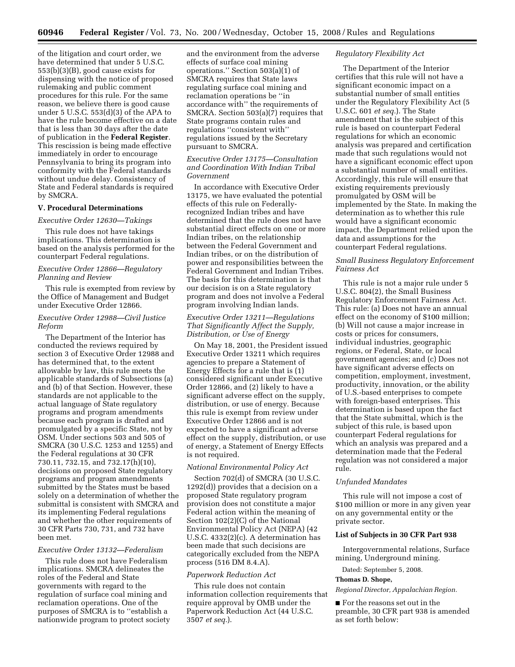of the litigation and court order, we have determined that under 5 U.S.C. 553(b)(3)(B), good cause exists for dispensing with the notice of proposed rulemaking and public comment procedures for this rule. For the same reason, we believe there is good cause under 5 U.S.C. 553(d)(3) of the APA to have the rule become effective on a date that is less than 30 days after the date of publication in the **Federal Register**. This rescission is being made effective immediately in order to encourage Pennsylvania to bring its program into conformity with the Federal standards without undue delay. Consistency of State and Federal standards is required by SMCRA.

#### **V. Procedural Determinations**

#### *Executive Order 12630—Takings*

This rule does not have takings implications. This determination is based on the analysis performed for the counterpart Federal regulations.

# *Executive Order 12866—Regulatory Planning and Review*

This rule is exempted from review by the Office of Management and Budget under Executive Order 12866.

## *Executive Order 12988—Civil Justice Reform*

The Department of the Interior has conducted the reviews required by section 3 of Executive Order 12988 and has determined that, to the extent allowable by law, this rule meets the applicable standards of Subsections (a) and (b) of that Section. However, these standards are not applicable to the actual language of State regulatory programs and program amendments because each program is drafted and promulgated by a specific State, not by OSM. Under sections 503 and 505 of SMCRA (30 U.S.C. 1253 and 1255) and the Federal regulations at 30 CFR 730.11, 732.15, and 732.17(h)(10), decisions on proposed State regulatory programs and program amendments submitted by the States must be based solely on a determination of whether the submittal is consistent with SMCRA and its implementing Federal regulations and whether the other requirements of 30 CFR Parts 730, 731, and 732 have been met.

#### *Executive Order 13132—Federalism*

This rule does not have Federalism implications. SMCRA delineates the roles of the Federal and State governments with regard to the regulation of surface coal mining and reclamation operations. One of the purposes of SMCRA is to ''establish a nationwide program to protect society

and the environment from the adverse effects of surface coal mining operations.'' Section 503(a)(1) of SMCRA requires that State laws regulating surface coal mining and reclamation operations be ''in accordance with'' the requirements of SMCRA. Section 503(a)(7) requires that State programs contain rules and regulations ''consistent with'' regulations issued by the Secretary pursuant to SMCRA.

# *Executive Order 13175—Consultation and Coordination With Indian Tribal Government*

In accordance with Executive Order 13175, we have evaluated the potential effects of this rule on Federallyrecognized Indian tribes and have determined that the rule does not have substantial direct effects on one or more Indian tribes, on the relationship between the Federal Government and Indian tribes, or on the distribution of power and responsibilities between the Federal Government and Indian Tribes. The basis for this determination is that our decision is on a State regulatory program and does not involve a Federal program involving Indian lands.

## *Executive Order 13211—Regulations That Significantly Affect the Supply, Distribution, or Use of Energy*

On May 18, 2001, the President issued Executive Order 13211 which requires agencies to prepare a Statement of Energy Effects for a rule that is (1) considered significant under Executive Order 12866, and (2) likely to have a significant adverse effect on the supply, distribution, or use of energy. Because this rule is exempt from review under Executive Order 12866 and is not expected to have a significant adverse effect on the supply, distribution, or use of energy, a Statement of Energy Effects is not required.

# *National Environmental Policy Act*

Section 702(d) of SMCRA (30 U.S.C. 1292(d)) provides that a decision on a proposed State regulatory program provision does not constitute a major Federal action within the meaning of Section 102(2)(C) of the National Environmental Policy Act (NEPA) (42 U.S.C. 4332(2)(c). A determination has been made that such decisions are categorically excluded from the NEPA process (516 DM 8.4.A).

### *Paperwork Reduction Act*

This rule does not contain information collection requirements that require approval by OMB under the Paperwork Reduction Act (44 U.S.C. 3507 *et seq.*).

#### *Regulatory Flexibility Act*

The Department of the Interior certifies that this rule will not have a significant economic impact on a substantial number of small entities under the Regulatory Flexibility Act (5 U.S.C. 601 *et seq.*). The State amendment that is the subject of this rule is based on counterpart Federal regulations for which an economic analysis was prepared and certification made that such regulations would not have a significant economic effect upon a substantial number of small entities. Accordingly, this rule will ensure that existing requirements previously promulgated by OSM will be implemented by the State. In making the determination as to whether this rule would have a significant economic impact, the Department relied upon the data and assumptions for the counterpart Federal regulations.

# *Small Business Regulatory Enforcement Fairness Act*

This rule is not a major rule under 5 U.S.C. 804(2), the Small Business Regulatory Enforcement Fairness Act. This rule: (a) Does not have an annual effect on the economy of \$100 million; (b) Will not cause a major increase in costs or prices for consumers, individual industries, geographic regions, or Federal, State, or local government agencies; and (c) Does not have significant adverse effects on competition, employment, investment, productivity, innovation, or the ability of U.S.-based enterprises to compete with foreign-based enterprises. This determination is based upon the fact that the State submittal, which is the subject of this rule, is based upon counterpart Federal regulations for which an analysis was prepared and a determination made that the Federal regulation was not considered a major rule.

#### *Unfunded Mandates*

This rule will not impose a cost of \$100 million or more in any given year on any governmental entity or the private sector.

#### **List of Subjects in 30 CFR Part 938**

Intergovernmental relations, Surface mining, Underground mining.

Dated: September 5, 2008.

# **Thomas D. Shope,**

*Regional Director, Appalachian Region.* 

■ For the reasons set out in the preamble, 30 CFR part 938 is amended as set forth below: